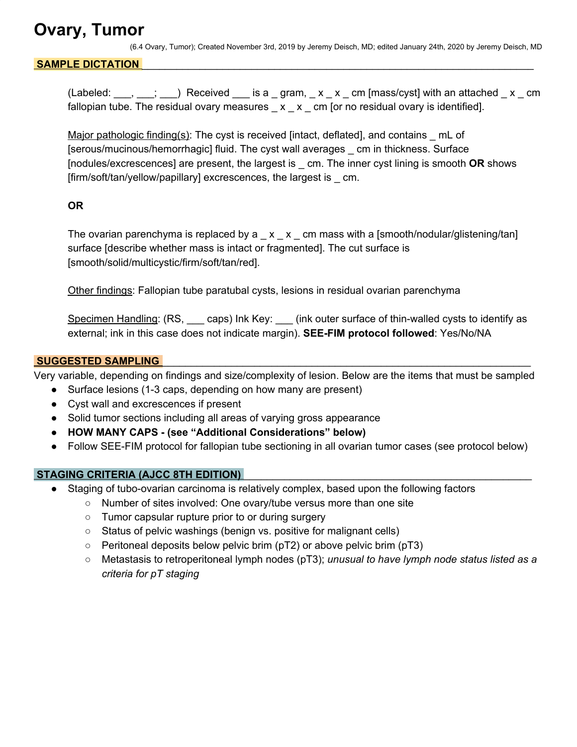## **Ovary, Tumor**

(6.4 Ovary, Tumor); Created November 3rd, 2019 by Jeremy Deisch, MD; edited January 24th, 2020 by Jeremy Deisch, MD

#### SAMPLE DICTATION

(Labeled:  $\frac{1}{\sqrt{2}}$ ,  $\frac{1}{\sqrt{2}}$ ) Received  $\frac{1}{\sqrt{2}}$  is a  $\frac{1}{\sqrt{2}}$  gram,  $\frac{1}{\sqrt{2}}$  x  $\frac{1}{\sqrt{2}}$  cm [mass/cyst] with an attached  $\frac{1}{\sqrt{2}}$  x  $\frac{1}{\sqrt{2}}$  cm fallopian tube. The residual ovary measures  $\angle x \angle x$  cm [or no residual ovary is identified].

Major pathologic finding(s): The cyst is received [intact, deflated], and contains \_ mL of [serous/mucinous/hemorrhagic] fluid. The cyst wall averages \_ cm in thickness. Surface [nodules/excrescences] are present, the largest is \_ cm. The inner cyst lining is smooth **OR** shows [firm/soft/tan/yellow/papillary] excrescences, the largest is cm.

#### **OR**

The ovarian parenchyma is replaced by a  $\quad \times \quad \times \quad$  cm mass with a [smooth/nodular/glistening/tan] surface [describe whether mass is intact or fragmented]. The cut surface is [smooth/solid/multicystic/firm/soft/tan/red].

Other findings: Fallopian tube paratubal cysts, lesions in residual ovarian parenchyma

Specimen Handling: (RS, eaps) Ink Key: \_\_\_ (ink outer surface of thin-walled cysts to identify as external; ink in this case does not indicate margin). **SEE-FIM protocol followed**: Yes/No/NA

#### **SUGGESTED SAMPLING**

Very variable, depending on findings and size/complexity of lesion. Below are the items that must be sampled

- Surface lesions (1-3 caps, depending on how many are present)
- Cyst wall and excrescences if present
- Solid tumor sections including all areas of varying gross appearance
- **HOW MANY CAPS - (see "Additional Considerations" below)**
- Follow SEE-FIM protocol for fallopian tube sectioning in all ovarian tumor cases (see protocol below)

#### **STAGING CRITERIA (AJCC 8TH EDITION)**

- Staging of tubo-ovarian carcinoma is relatively complex, based upon the following factors
	- Number of sites involved: One ovary/tube versus more than one site
	- Tumor capsular rupture prior to or during surgery
	- Status of pelvic washings (benign vs. positive for malignant cells)
	- Peritoneal deposits below pelvic brim (pT2) or above pelvic brim (pT3)
	- Metastasis to retroperitoneal lymph nodes (pT3); *unusual to have lymph node status listed as a criteria for pT staging*